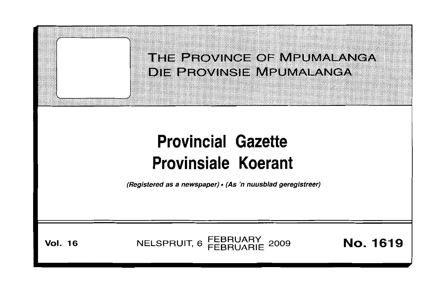

(Registered as a newspaper) • (As 'n nuusblad geregistreer)

**Vol. 16 NELSPRUIT, 6 FEBRUARY 2009 <b>No. 1619**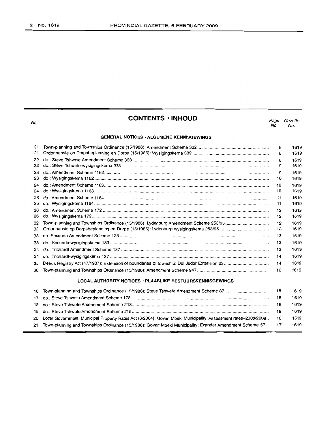| No.                                                              | <b>CONTENTS · INHOUD</b>                                                                                      | Page<br>No. | Gazette<br>No. |  |  |  |
|------------------------------------------------------------------|---------------------------------------------------------------------------------------------------------------|-------------|----------------|--|--|--|
|                                                                  | <b>GENERAL NOTICES · ALGEMENE KENNISGEWINGS</b>                                                               |             |                |  |  |  |
| 21                                                               |                                                                                                               | 8           | 1619           |  |  |  |
| 21                                                               |                                                                                                               | 8           | 1619           |  |  |  |
| 22                                                               |                                                                                                               | 8           | 1619           |  |  |  |
| 22                                                               |                                                                                                               | 9           | 1619           |  |  |  |
| 23                                                               |                                                                                                               | 9           | 1619           |  |  |  |
| 23                                                               |                                                                                                               | 10          | 1619           |  |  |  |
| 24                                                               |                                                                                                               | 10          | 1619           |  |  |  |
| 24                                                               |                                                                                                               | 10          | 1619           |  |  |  |
| 25                                                               |                                                                                                               | 11          | 1619           |  |  |  |
| 25                                                               |                                                                                                               | 11          | 1619           |  |  |  |
| 26                                                               |                                                                                                               | 12          | 1619           |  |  |  |
| 26                                                               |                                                                                                               | 12          | 1619           |  |  |  |
| 32                                                               |                                                                                                               | 12          | 1619           |  |  |  |
| 32                                                               |                                                                                                               | 13          | 1619           |  |  |  |
| 33                                                               |                                                                                                               | 13          | 1619           |  |  |  |
| 33                                                               |                                                                                                               | 13          | 1619           |  |  |  |
| 34                                                               |                                                                                                               | 13          | 1619           |  |  |  |
| 34                                                               |                                                                                                               | 14          | 1619           |  |  |  |
| 35                                                               |                                                                                                               | 14          | 1619           |  |  |  |
| 36                                                               |                                                                                                               | 16          | 1619           |  |  |  |
| <b>LOCAL AUTHORITY NOTICES · PLAASLIKE BESTUURSKENNISGEWINGS</b> |                                                                                                               |             |                |  |  |  |
| 16                                                               | Town-planning and Townships Ordinance (15/1986): Steve Tshwete Amendment Scheme 87                            | 18          | 1619           |  |  |  |
| 17                                                               |                                                                                                               | 18          | 1619           |  |  |  |
| 18                                                               |                                                                                                               | 18          | 1619           |  |  |  |
| 19                                                               |                                                                                                               | 19<br>16    | 1619           |  |  |  |
| 20                                                               | Local Government: Municipal Property Rates Act (6/2004): Govan Mbeki Municipality: Assessment rates-2008/2009 |             | 1619           |  |  |  |

21 Town-planning and Townships Ordinance (15/1986): Govan Mbeki Municipality: Evander Amendment Scheme 57 .. 17 1619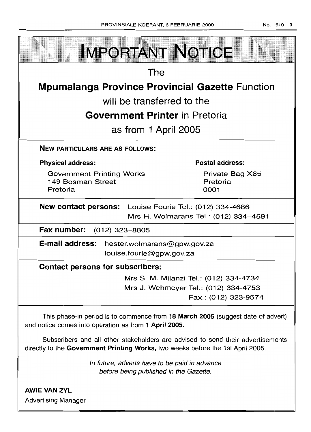-

| <b>IMPORTANT NOTICE</b>                                                                                                                                            |  |  |  |  |  |
|--------------------------------------------------------------------------------------------------------------------------------------------------------------------|--|--|--|--|--|
| The                                                                                                                                                                |  |  |  |  |  |
| <b>Mpumalanga Province Provincial Gazette Function</b>                                                                                                             |  |  |  |  |  |
| will be transferred to the                                                                                                                                         |  |  |  |  |  |
| <b>Government Printer</b> in Pretoria                                                                                                                              |  |  |  |  |  |
| as from 1 April 2005                                                                                                                                               |  |  |  |  |  |
| <b>NEW PARTICULARS ARE AS FOLLOWS:</b>                                                                                                                             |  |  |  |  |  |
| <b>Physical address:</b><br><b>Postal address:</b>                                                                                                                 |  |  |  |  |  |
| <b>Government Printing Works</b><br>Private Bag X85<br>149 Bosman Street<br>Pretoria<br>Pretoria<br>0001                                                           |  |  |  |  |  |
| <b>New contact persons:</b> Louise Fourie Tel.: (012) 334-4686                                                                                                     |  |  |  |  |  |
| Mrs H. Wolmarans Tel.: (012) 334-4591<br>Fax number: (012) 323-8805                                                                                                |  |  |  |  |  |
|                                                                                                                                                                    |  |  |  |  |  |
| E-mail address: hester.wolmarans@gpw.gov.za<br>louise.fourie@gpw.gov.za                                                                                            |  |  |  |  |  |
| <b>Contact persons for subscribers:</b>                                                                                                                            |  |  |  |  |  |
| Mrs S. M. Milanzi Tel.: (012) 334-4734                                                                                                                             |  |  |  |  |  |
| Mrs J. Wehmeyer Tel.: (012) 334-4753                                                                                                                               |  |  |  |  |  |
| Fax.: (012) 323-9574                                                                                                                                               |  |  |  |  |  |
| This phase-in period is to commence from 18 March 2005 (suggest date of advert)<br>and notice comes into operation as from 1 April 2005.                           |  |  |  |  |  |
| Subscribers and all other stakeholders are advised to send their advertisements<br>directly to the Government Printing Works, two weeks before the 1st April 2005. |  |  |  |  |  |

In future, adverts have to be paid in advance before being published in the Gazette.

AWIE VAN ZYL Advertising Manager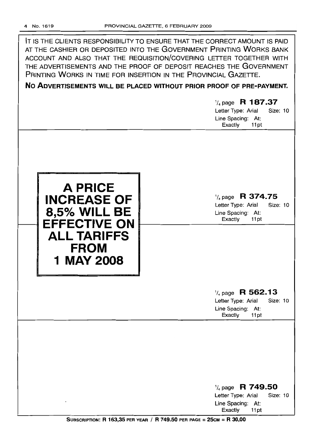IT IS THE CLIENTS RESPONSIBILITY TO ENSURE THAT THE CORRECT AMOUNT IS PAID AT THE CASHIER OR DEPOSITED INTO THE GOVERNMENT PRINTING WORKS BANK ACCOUNT AND ALSO THAT THE REQUISITION/COVERING LETTER TOGETHER WITH THE ADVERTISEMENTS AND THE PROOF OF DEPOSIT REACHES THE GOVERNMENT PRINTING WORKS IN TIME FOR INSERTION IN THE PROVINCIAL GAZETTE.

**No ADVERTISEMENTS WILL BE PLACED WITHOUT PRIOR PROOF OF PRE-PAYMENT.**

# 1/4 page **R 187.37** Letter Type: Arial Size: 10 Line Spacing: At: Exactly 11 pt **A PRICE INCREASE OF 8,5% WILL BE EFFECTIVE ON ALL TARIFFS FROM 1** MAY 2008 1/4page **R 374.75** Letter Type: Arial Size: 10 Line Spacing: At: Exactly 11 pt 1/4page **R 562.13** Letter Type: Arial Size: 10 Line Spacing: At: Exactly 11 pt

1/4 page **R 749.50** Letter Type: Arial Size: 10 Line Spacing: At: Exactly 11 pt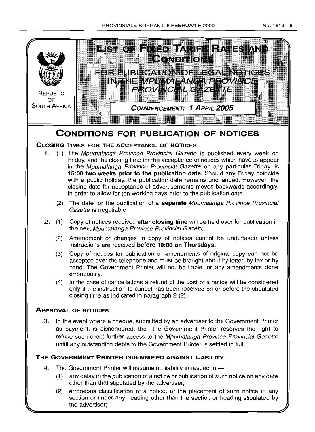

(2) erroneous classification of a notice, or the placement of such notice in any section or under any heading other than the section or heading stipulated by the advertiser;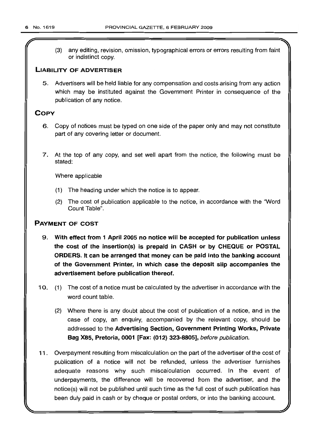(3) any editing, revision, omission, typographical errors or errors resulting from faint or indistinct copy.

## LIABILITY OF ADVERTISER

5. Advertisers will be held liable for any compensation and costs arising from any action which may be instituted against the Government Printer in consequence of the publication of any notice.

## COpy

- 6. Copy of notices must be typed on one side of the paper only and may not constitute part of any covering letter or document.
- 7. At the top of any copy, and set well apart from the notice, the following must be stated:

Where applicable

- (1) The heading under which the notice is to appear.
- (2) The cost of publication applicable to the notice, in accordance with the "Word Count Table".

## PAYMENT OF COST

- 9. With effect from 1 April 2005 no notice will be accepted for publication unless the cost of the insertion(s) is prepaid in CASH or by CHEQUE or POSTAL ORDERS. It can be arranged that money can be paid into the banking account of the Government Printer, in which case the deposit slip accompanies the advertisement before publication thereof.
- 10. (1) The cost of a notice must be calculated by the advertiser in accordance with the word count table.
	- (2) Where there is any doubt about the cost of publication of a notice, and in the case of copy, an enquiry, accompanied by the relevant copy, should be addressed to the Advertising Section, Government Printing Works, Private Bag X85, Pretoria, 0001 [Fax: (012) 323-8805], before publication.
- 11. Overpayment resulting from miscalculation on the part of the advertiser of the cost of publication of a notice will not be refunded, unless the advertiser furnishes adequate reasons why such miscalculation occurred. In the event of underpayments, the difference will be recovered from the advertiser, and the notice(s) will not be published until such time as the full cost of such publication has been duly paid in cash or by cheque or postal orders, or into the banking account.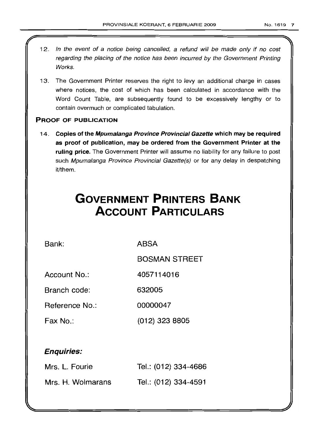- 12. In the event of a notice being cancelled, a refund will be made only if no cost regarding the placing of the notice has been incurred by the Government Printing Works.
- 13. The Government Printer reserves the right to levy an additional charge in cases where notices, the cost of which has been calculated in accordance with the Word Count Table, are subsequently found to be excessively lengthy or to contain overmuch or complicated tabulation.

## PROOF OF PUBLICATION

14. Copies of the Mpumalanga Province Provincial Gazette which may be required as proof of publication, may be ordered from the Government Printer at the ruling price. The Government Printer will assume no liability for any failure to post such Mpumalanga Province Provincial Gazette(s) or for any delay in despatching it/them.

# **GOVERNMENT PRINTERS BANK ACCOUNT PARTICULARS**

Bank: ABSA

BOSMAN STREET

Account No.: 4057114016

Branch code: 632005

Reference No.: 00000047

Fax No.: (012) 323 8805

## Enquiries:

| Mrs. L. Fourie    | Tel.: (012) 334-4686 |
|-------------------|----------------------|
| Mrs. H. Wolmarans | Tel.: (012) 334-4591 |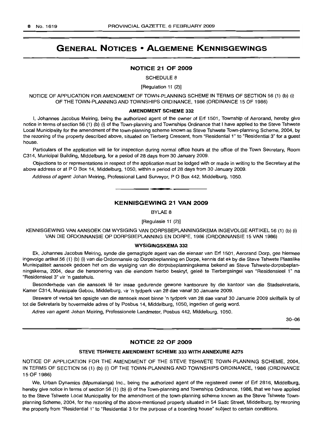# GENERAL NOTICES • ALGEMENE KENNISGEWINGS

## NOTICE 21 OF 2009

SCHEDULE 8

[Regulation 11 (2)]

NOTICE OF APPLICATION FOR AMENDMENT OF TOWN-PLANNING SCHEME IN TERMS OF SECTION 56 (1) (b) (i) OF THE TOWN-PLANNING AND TOWNSHIPS ORDINANCE, 1986 (ORDINANCE 15 OF 1986)

#### AMENDMENT SCHEME 332

I, Johannes Jacobus Meiring, being the authorized agent of the owner of Erf 1501, Township of Aerorand, hereby give notice in terms of section 56 (1) (b) (i) of the Town-planning and Townships Ordinance that I have applied to the Steve Tshwete Local Municipality for the amendment of the town-planning scheme known as Steve Tshwete Town-planning Scheme, 2004, by the rezoning of the property described above, situated on Tierberg Crescent, from "Residential 1" to "Residential 3" for a guest house.

Particulars of the application will lie for inspection during normal office hours at the office of the Town Secretary, Room C314, Municipal Building, Middelburg, for a period of 28 days from 30 January 2009.

Objections to or representations in respect of the application must be lodged with or made in writing to the Secretary at the above address or at P O Box 14, Middelburg, 1050, within a period of 28 days from 30 January 2009.

Address of agent: Johan Meiring, Professional Land Surveyor, P O Box 442, Middelburg, 1050.

## KENNISGEWING 21 VAN 2009

**. ..**

BYLAE 8

[Regulasie 11 (2)]

KENNISGEWING VAN AANSOEK OM WYSIGING VAN DORPSBEPLANNINGSKEMA INGEVOLGE ARTIKEL 56 (1) (b) (i) VAN DIE ORDONNANSIE OP DORPSBEPLANNING EN DORPE, 1986 (ORDONNANSIE 15 VAN 1986)

## WYSIGINGSKEMA 332

Ek, Johannes Jacobus Meiring, synde die gemagtigde agent van die eienaar van Erf 1501, Aerorand Dorp, gee hiermee ingevolge artikel56 (1) (b) (i) van die Ordonnansie op Dorpsbeplanning en Dorpe, kennis dat ek by die Steve Tshwete Plaaslike Munisipaliteit aansoek gedoen het om die wysiging van die dorpsbeplanningskema bekend as Steve Tshwete-dorpsbeplanningskema, 2004, deur die hersonering van die eiendom hierbo beskryf, geleë te Tierbergsingel van "Residensieel 1" na "Residensieel 3" vir 'n gastehuis.

Besonderhede van die aansoek lê ter insae gedurende gewone kantoorure by die kantoor van die Stadsekretaris, Kamer C314, Munisipale Gebou, Middelburg, vir 'n tydperk van 28 dae vanaf 30 Januarie 2009.

Besware of vertoë ten opsigte van die aansoek moet binne 'n tydperk van 28 dae vanaf 30 Januarie 2009 skriftelik by of tot die Sekretaris by bovermelde adres of by Posbus 14, Middelburg, 1050, ingedien of gerig word.

Adres van agent: Johan Meiring, Professionele Landmeter, Posbus 442, Middelburg, 1050.

30-06

## NOTICE 22 OF 2009

#### STEVE TSHWETE AMENDMENT SCHEME 333 WITH ANNEXURE A275

NOTICE OF APPLICATION FOR THE AMENDMENT OF THE STEVE TSHWETE TOWN-PLANNING SCHEME, 2004, IN TERMS OF SECTION 56 (1) (b) (i) OF THE TOWN-PLANNING AND TOWNSHIPS ORDINANCE, 1986 (ORDINANCE 15 OF 1986)

We, Urban Dynamics (Mpumalanga) Inc., being the authorized agent of the registered owner of Erf 2816, Middelburg, hereby give notice in terms of section 56 (1) (b) (i) of the Town-planning and Townships Ordinance, 1986, that we have applied to the Steve Tshwete Local Municipality for the amendment of the town-planning scheme known as the Steve Tshwete Townplanning Scheme, 2004, for the rezoning of the above-mentioned property situated in 54 Sadc Street, Middelburg, by rezoning the property from "Residential 1" to "Residential 3 for the purpose of a boarding house" subject to certain conditions.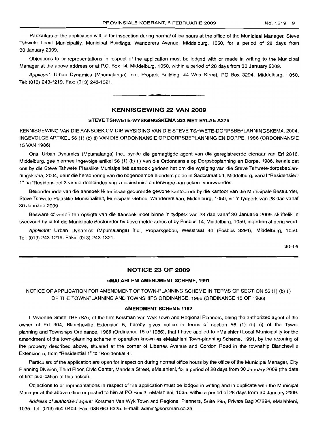Particulars of the application will lie for inspection during normal office hours at the office of the Municipal Manaqer, Steve Tshwete Local Municipality, Municipal Buildings, Wanderers Avenue, Middelburg, 1050, for a period of 28 days from 30 January 2009.

Objections to or representations in respect of the application must be lodged with or made in writing to the Municipal Manager at the above address or at P.O. Box 14, Middelburg, 1050, within a period of 28 days from 30 January 2009.

Applicant: Urban Dynamics (Mpumalanga) Inc., Propark Building, 44 Wes Street, PO Box 3294, Middelburg, 1050. Tel: (013) 243-1219. Fax: (013) 243-1321.

.**- .**

## **KENNISGEWING 22 VAN 2009**

## **STEVE TSHWETE-WYSIGINGSKEMA 333 MET BYLAE A275**

KENNISGEWING VAN DIE AANSOEK OM DIE WYSIGING VAN DIE STEVE TSHWETE-DORPSBEPLANNINGSKEMA, 2004, INGEVOLGE ARTIKEL 56 (1) (b) (i) VAN DIE ORDONNANSIE OP DORPSBEPLANNING EN DORPE, 1986 (ORDONNANSIE 15 VAN 1986)

Ons, Urban Dynamics (Mpumalanga) Inc., synde die gemagtigde agent van die geregistreerde eienaar van Erf 2816, Middelburg, gee hiermee ingevolge artikel 56 (1) (b) (i) van die Ordonnansie op Dorpsbeplanning en Dorpe, 1986, kennis dat ons by die Steve Tshwete Plaaslike Munisipaliteit aansoek gedoen het om die wysiging van die Steve Tshwete-dorpsbeplanningskema, 2004, deur die hersonering van die bogenoemde eiendom gelels in Sadcstraat 54, Middelburg, vanaf "Residensieel 1" na "Residensieel 3 vir die doeleindes van 'n losieshuis" onderworpe aan sekere voorwaardes.

Besonderhede van die aansoek lê ter insae gedurende gewone kantoorure by die kantoor van die Munisipale Bestuurder, Steve Tshwete Plaaslike Munisipaliteit, Munisipale Gebou, Wandererslaan, Middelburg, 1050, vir 'n tydperk van 28 dae vanaf 30 Januarie 2009.

Besware of vertoë ten opsigte van die aansoek moet binne 'n tydperk van 28 dae vanaf 30 Januarie 2009, skriftelik in tweevoud by of tot die Munisipale Bestuurder by bovermelde adres of by Posbus 14, Middelburg, 1050, ingedien of gerig word.

Applikant: Urban Dynamics (Mpumalanga) Inc., Proparkgebou, Wesstraat 44 (Posbus 3294), Middelburg, 1050. Tel: (013) 243-1219. Faks: (013) 243-1321.

30-06

## **NOTICE 23 OF 2009**

#### **eMALAHLENI AMENDMENT SCHEME, 1991**

NOTICE OF APPLICATION FOR AMENDMENT OF TOWN-PLANNING SCHEME IN TERMS OF SECTION 56 (1) (b) (i) OF THE TOWN-PLANNING AND TOWNSHIPS ORDINANCE, 1986 (ORDINANCE 15 OF 1986)

## **AMENDMENT SCHEME 1162**

I, Vivienne Smith TRP (SA), of the firm Korsman Van Wyk Town and Regional Planners, being the authorized agent of the owner of Erf 304, Blancheville Extension 5, hereby gives notice in terms of section 56 (1) (b) (i) of the Townplanning and Townships Ordinance, 1986 (Ordinance 15 of 1986), that I have applied to eMalahleni Local Municipality for the amendment of the town-planning scheme in operation known as eMalahleni Town-planning Scheme, 1991, by the rezoning of the property described above, situated at the corner of Libertas Avenue and Gordon Road in the township Blancheville Extension 5, from "Residential 1" to "Residential 4".

Particulars of the application are open for inspection during normal office hours by the office of the Municipal Manager, City Planning Division, Third Floor, Civic Center, Mandela Street, eMalahleni, for a period of 28 days from 30 January 2009 (the date of first publication of this notice).

Objections to or representations in respect of the application must be lodqed in writing and in duplicate with the Municipal Manager at the above office or posted to him at PO Box 3, eMalahleni, 1035, within a period of 28 days from 30 January 2009.

Address of authorised agent: Korsman Van Wyk Town and Regional Planners, Suite 295, Private Bag X7294, eMalahleni, 1035. Tel: (013) 650-0408. Fax: 086 663 6325. E-mail: admin@korsman.co.za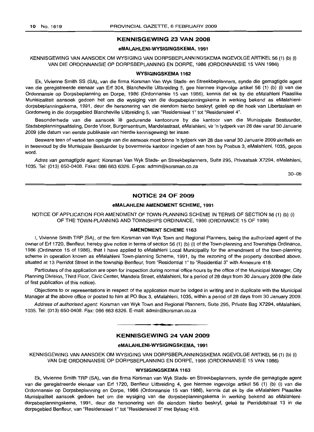## **KENNISGEWING 23 VAN 2008**

#### **eMALAHLENI-WYSIGINGSKEMA, 1991**

## KENNISGEWING VAN AANSOEK OM WYSIGING VAN DORPSBEPLANNINGSKEMA INGEVOLGEARTIKEL56 (1) (b) (i) VAN DIE ORDONNANSIE OP DORPSBEPLANNING EN DORPE, 1986 (ORDONNANSIE 15 VAN 1986)

#### **WYSIGINGSKEMA 1162**

Ek, Vivienne Smith SS (SA), van die firma Korsman Van Wyk Stads- en Streekbeplanners, synde die gemagtigde agent van die geregistreerde eienaar van Erf 304, Blancheville Uitbreiding 5, gee hiermee ingevolge artikel 56 (1) (b) (i) van die Ordonnansie op Dorpsbeplanning en Dorpe, 1986 (Ordonnansie 15 van 1986), kennis dat ek by die eMalahleni Plaaslike Munisipaliteit aansoek gedoen het om die wysiging van die dorpsbeplanningskema in werking bekend as eMalahlenidorpsbeplanningskema, 1991, deur die hersonering van die eiendom hierbo beskryf, geleë op die hoek van Libertasiaan en Gordonweg in die dorpsgebied Blancheville Uitbreiding 5, van "Residensieel 1" tot "Residensieel 4".

Besonderhede van die aansoek Iê gedurende kantoorure by die kantoor van die Munisipale Bestuurder, Stadsbeplanningsafdeling, Derde Vloer, Burgersentrum, Mandelastraat, eMalahleni, vir 'n tydperk van 28 dae vanaf 30 Januarie 2009 (die datum van eerste publikasie van hierdie kennisgewing) ter insae.

Besware teen of vertoë ten opsigte van die aansoek moet binne 'n tydperk van 28 dae vanaf 30 Januarie 2009 skriftelik en in tweevoud by die Munisipale Bestuurder by bovermelde kantoor ingedien of aan hom by Posbus 3, eMalahleni, 1035, gepos word.

Adres van gemagtigde agent: Korsman Van Wyk Stads- en Streekbeplanners, Suite 295, Privaatsak X7294, eMalahleni, 1035. Tel: (013) 650-0408. Faks: 086 663 6326. E-pos: admin@korsman.co.za

 $30 - 06$ 

## **NOTICE 24 OF 2009**

#### **eMALAHLENI AMENDMENT SCHEME, 1991**

NOTICE OF APPLICATION FOR AMENDMENT OF TOWN-PLANNING SCHEME IN TERMS OF SECTION 56 (1) (b) (i) OF THE TOWN-PLANNING AND TOWNSHIPS ORDINANCE, 1986 (ORDINANCE 15 OF 1986)

## **AMENDMENT SCHEME 1163**

I, Vivienne Smith TRP (SA), of the firm Korsman van Wyk Town and Regional Planners, being the authorized agent of the owner of Erf 1720, Benfleur, hereby give notice in terms of section 56 (1) (b) (i) of the Town-planning and Townships Ordinance, 1986 (Ordinance 15 of 1986), that I have applied to eMalahleni Local Municipality for the amendment of the town-planning scheme in operation known as eMalahleni Town-planning Scheme, 1991, by the rezoning of the property described above, situated at 13 Perridot Street in the township Benfleur, from "Residential 1" to "Residential 3" with Annexure 418.

Particulars of the application are open for inspection during normal office hours by the office of the Municipal Manager, City Planning Division, Third Floor, Civic Center, Mandela Street, eMalahleni, for a period of 28 days from 30 January 2009 (the date of first publication of this notice).

Objections to or representations in respect of the application must be lodged in writing and in duplicate with the Municipal Manager at the above office or posted to him at PO Box 3, eMalahleni, 1035, within a period of 28 days from 30 January 2009.

Address of authorised agent: Korsman van Wyk Town and Regional Planners, Suite 295, Private Bag X7294, eMalahleni, 1035. Tel: (013) 650-0408. Fax: 086 663 6326. E-mail: admin@korsman.co.za

# **• KENNISGEWING 24 VAN 2009**

#### **eMALAHLENI-WYSIGINGSKEMA, 1991**

KENNISGEWING VAN AANSOEK OM WYSIGING VAN DORPSBEPLANNINGSKEMA INGEVOLGEARTIKEL56 (1) (b) (i) VAN DIE ORDONNANSIE OP DORPSBEPLANNING EN DORPE, 1986 (ORDONNANSIE 15 VAN 1986)

#### **WYSIGINGSKEMA 1163**

Ek, Vivienne Smith TRP (SA), van die firma Korsman van Wyk Stads- en Streekbeplanners, synde die gemagtigde agent van die geregistreerde eienaar van Erf 1720, Benfleur Uitbreiding 4, gee hiermee ingevolge artikel 56 (1) (b) (i) van die Ordonnansie op Dorpsbeplanning en Dorpe, 1986 (Ordonnansie 15 van 1986), kennis dat ek by die eMalahleni Plaaslike Munisipaliteit aansoek gedoen het om die wysiging van die dorpsbeplanningskema in werking bekend as eMalahlenidorpsbeplanningskema, 1991, deur die hersonering van die eiendom hierbo beskryf, geleë te Perridotstraat 13 in die dorpsgebied Benfleur, van "Residensieel 1" tot "Residensieel 3" met Bylaag 418.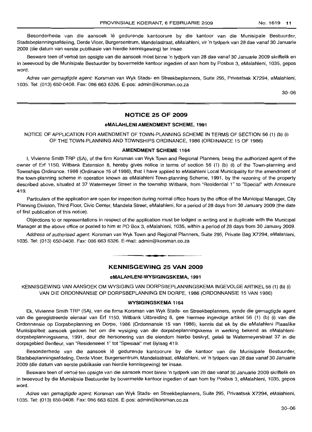Besonderhede van die aansoek lê gedurende kantoorure by die kantoor van die Munisipale Bestuurder, Stadsbeplanningsafdeling, Derde Vloer, Burgersentrum, Mandelastraat, eMalahleni, vir 'n tydperk van 28 dae vanaf 30 Januarie 2009 (die datum van eerste publikasie van hierdie kennisgewing) ter insae.

Besware teen of vertoë ten opsigte van die aansoek moet binne 'n tydperk van 28 dae vanaf 30 Januarie 2009 skriftelik en in tweevoud by die Munisipale Bestuurder by bovermelde kantoor ingedien of aan hom by Posbus 3, eMalahleni, 1035, gepos word.

Adres van gemagtigde agent: Korsman van Wyk Stads- en Streekbeplanners, Suite 295, Privaatsak X7294, eMalahleni, 1035. Tel: (013) 650-0408. Fax: 086 663 6326. E-pos: admin@korsman.co.za

30-06

## **NOTICE 25 OF 2009**

### **eMALAHLENI AMENDMENT SCHEME, 1991**

## NOTICE OF APPLICATION FOR AMENDMENT OF TOWN-PLANNING SCHEME IN TERMS OF SECTION 56 (1) (b) (i) OF THE TOWN-PLANNING AND TOWNSHIPS ORDINANCE, 1986 (ORDINANCE 15 OF 1986)

## **AMENDMENT SCHEME 1164**

I, Vivienne Smith TRP (SA), of the firm Korsman van Wyk Town and Regional Planners, being the authorized agent of the owner of Erf 1150, Witbank Extension 8, hereby gives notice in terms of section 56 (1) (b) (i) of the Town-planning and Townships Ordinance, 1986 (Ordinance 15 of 1986), that I have applied to eMalahleni Local Municipality for the amendment of the town-planning scheme in operation known as eMalahleni Town-planning Scheme, 1991, by the rezoning of the property described above, situated at 37 Watermeyer Street in the township Witbank, from "Residential 1" to "Special" with Annexure 419.

Particulars of the application are open for inspection during normal office hours by the office of the Municipal Manager, City Planning Division, Third Floor, Civic Center, Mandela Street, eMalahleni, for a period of 28 days from 30 January 2009 (the date of first publication of this notice).

Objections to or representations in respect of the application must be lodged in writing and in duplicate with the Municipal Manager at the above office or posted to him at PO Box 3, eMalahleni, 1035, within a period of 28 days from 30 January 2009.

Address of authorised agent: Korsman van Wyk Town and Regional Planners, Suite 295, Private Bag X7294, eMalahleni, 1035. Tel: (013) 650-0408. Fax: 086 663 6326. E-mail: admin@korsman.co.za

-----.0 --··---

**KENNISGEWING 25 VAN 2009**

#### **eMALAHLENI-WYSIGINGSKEMA, 1991**

KENNISGEWING VAN AANSOEK OM WYSIGING VAN DORPSBEPLANNINGSKEMA INGEVOLGEARTIKEL56 (1) (b) (i) VAN DIE ORDONNANSIE OP DORPSBEPLANNING EN DORPE, 1986 (ORDONNANSIE 15 VAN 1986)

#### **WYSIGINGSKEMA 1164**

Ek, Vivienne Smith TRP (SA), van die firma Korsman van Wyk Stads- en Streekbeplanners, synde die gemagtigde agent van die geregistreercle eienaar van Erf 1150, Witbank Uitbreiding 8, gee hiermee ingevolge artikel 56 (1) (b) (i) van die Ordonnansie op Dorpsbeplanning en Dorpe, 1986 (Ordonnansie 15 van '1986), kennis dat ek by die eMalahleni Plaaslike Munisipaliteit aansoek gedoen het am die wysiging van die dorpsbeplanningskema in werking bekend as eMalahlenidorpsbeplanningskema, 1991, deur die hersonering van die eiendom hierbo beskryf, geleë te Watermeyerstraat 37 in die dorpsgebied Benfleur, van "Residensieel 1" tot "Spesiaal" met Bylaag 419.

Besonderhede van die aansoek lê gedurende kantoorure by die kantoor van die Munisipale Bestuurder, Stadsbeplanningsafdeling, Derde Vloer, Burgersentrum, Mandelastraat, eMalahleni, vir 'n tydperk van 28 dae vanaf 30 Januarie 2009 (die datum van eerste publikasie van hierdie kennisgewing) ter insae.

Besware teen of vertoë ten opsigte van die aansoek moet binne 'n tydperk van 28 dae vanaf 30 Januarie 2009 skriftelik en in tweevoud by die Munisipale Bestuurder by bovermelde kantoor ingedien of aan hom by Posbus 3, eMalahleni, 1035, gepos word.

Adres van gemagtigde agent: Korsman van Wyk Stads- en Streekbeplanners, Suite 295, Privaatsak X7294, eMalahleni, 1035. Tel: (013) 650-0408. Fax: 086 663 6326. E-pos: admin@korsman.co.za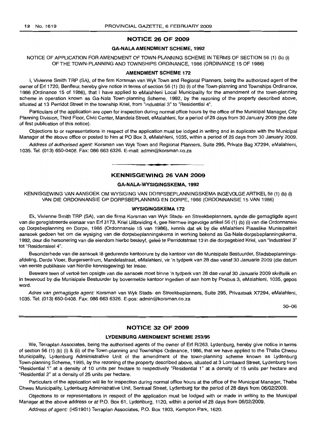## **NOTICE 26 OF 2009**

## **GA-NALA AMENDMENT SCHEME, 1992**

## NOTICE OF APPLICATION FOR AMENDMENT OF TOWN-PLANNING SCHEME IN TERMS OF SECTION 56 (1) (b) (i) OF THE TOWN-PLANNING AND TOWNSHIPS ORDINANCE, 1986 (ORDINANCE 15 OF 1986)

## **AMENDMENT SCHEME 172**

I, Vivienne Smith TRP (SA), of the firm Korsman van Wyk Town and Regional Planners, being the authorized agent of the owner of Erf 1720, Benfleur, hereby give notice in terms of section 56 (1) (b) (i) of the Town-planning and Townships Ordinance, 1986 (Ordinance 15 of 1986), that I have applied to eMalahleni Local Municipality for the amendment of the town-planning scheme in operation known as Ga-Nala Town-planning Scheme, 1992, by the rezoning of the property described above, situated at 13 Perridot Street in the township Kriel, from "Industrial 3" to "Residential 4".

Particulars of the application are open for inspection during normal office hours by the office of the Municipal Manager, City Planning Division, Third Floor, Civic Center, Mandela Street, eMalahleni, for a period of 28 days from 30 January 2009 (the date of first publication of this notice).

Objections to or representations in respect of the application must be lodged in writing and in duplicate with the Municipal Manager at the above office or posted to him at PO Box 3, eMalahleni, 1035, within a period of 28 days from 30 January 2009.

Address of authorised agent: Korsman van Wyk Town and Regional Planners, Suite 295, Private Bag X7294, eMalahleni, 1035. Tel: (013) 650-0408. Fax: 086 663 6326. E-mail: admin@korsman.co.za

## **KENNISGEWING 26 VAN 2009**

**• •**

#### **GA-NALA-WYSIGINGSKEMA,1992**

KENNISGEWING VAN AANSOEK OM WYSIGING VAN DORPSBEPLANNINGSKEMA INGEVOLGEARTIKEL56 (1) (b) (i) VAN DIE ORDONNANSIE OP DORPSBEPLANNING EN DORPE, 1986 (ORDONNANSIE 15 VAN 1986)

#### **WYSIGINGSKEMA 172**

Ek, Vivienne Smith TRP (SA), van die firma Korsman van Wyk Stads- en Streekbeplanners, synde die gemagtigde agent van die geregistreerde eienaar van Erf 3173, Kriel Uitbreiding 4, gee hiermee ingevolge artikel 56 (1) (b) (i) van die Ordonnansie op Dorpsbeplanning en Dorpe, 1986 (Ordonnansie 15 van 1986), kennis dat ek by die eMalahleni Plaaslike Munisipaliteit aansoek gedoen het om die wysiging van die dorpsbeplanningskema in werking bekend as Ga-Nala-dorpsbeplanningskema, 1992, deur die hersonering van die eiendom hierbo beskryf, gelee te Perridotstraat 13 in die dorpsgebied Kriel, van "fndustrieel 3" tot "Residensieel 4".

Besonderhede van die aansoek lê gedurende kantoorure by die kantoor van die Munisipale Bestuurder, Stadsbeplanningsafdeling, Derde Vloer, Burgersentrum, Mandelastraat, eMalahleni, vir 'n tydperk van 28 dae vanaf 30 Januarie 2009 (die datum van eerste pubiikasie van hierdie kennisgewing) ter insae.

Besware teen of vertoë ten opsigte van die aansoek moet binne 'n tydperk van 28 dae vanaf 30 Januarie 2009 skriftelik en in tweevoud by die Munisipale Bestuurder by bovermelde kantoor ingedien of aan hom by Posbus 3, eMalahleni, 1035, gepos word.

Adres van gemagtigde agent: Korsman van Wyk Stads- en Streekbeplanners, Suite 295, Privaatsak X7294, eMalahleni, 1035. Tel: (013) 650-0408. Fax: 086 663 6326. E-pos: admin@korsman.co.za

30-06

## **NOTICE 32 OF 2009**

#### **LVDENBURG AMENDMENT SCHEME** 253/95

We, Terraplan Associates, being the authorised agents of the owner of Erf R/263, Lydenburg, hereby give notice in terms of section 56 (1) (b) (i) & (ii) of the Town-planning and Townships Ordinance, 1986, that we have applied to the Thaba Chweu Municipality, Lydenburg Admimistrative Unit of the amendment of the town-planning scheme known as Lydenburg Town-planning Scheme, 1995, by the rezoning of the property described above, situated at 3 Lombaard Street, Lydenburg from "Residential 1" at a density of 10 units per hectare to respectively "Residential 1" at a density of 15 units per hectare and "Residential 2" at a density of 25 units per hectare.

Particulars of the application will lie for inspection during normal office hours at the office of the Municipal Manager, Thaba Chweu Municipality, Lydenburg Administrative Unit, Sentraal Street, Lydenburg for the period of 28 days from 06/02/2009.

Objections to or representations in respect of the application must be lodged with or made in writing to the Municipal Manager at the above address or at P.O. Box 61, Lydenburg, 1120, within a period of 28 days from 06/02/2009.

Address of agent: (HS1901) Terraplan Associates, P.O. Box 1903, Kempton Park, 1620.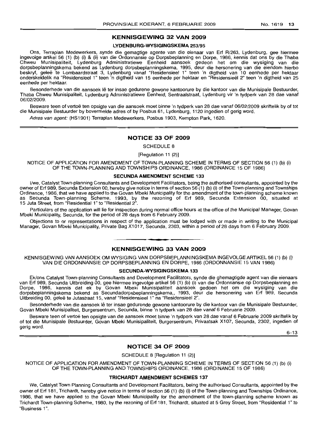## **KENNISGEWING 32 VAN 2009**

#### **LYDENBURG-WYSIGINGSKEMA** 253/95

Ons, Terraplan Medewerkers, synde die gemagtige agente van die eienaar van Erf R/263, Lydenburg, gee hiermee ingevolge artikel 56 (1) (b) (i) & (ii) van die Ordonnansie op Dorpsbeplanning en Dorpe, 1986, kennis dat ons by die Thaba Chweu Munisipaliteit, Lydenburg Administratiewe Eenheid aansoek gedeon het om die wysiging van die dorpsbeplanningskema bekend as Lydenburg dorpsbeplanningskema, 1995, deur die hersonering van die eiendom hierbo beskryf, geleë te Lornbaardstraat 3, Lydenburg vanaf "Residensieel 1" teen 'n digtheid van 10 eenhede per hektaar onderskeidelik na "Residensieel 1" teen 'n digtheid van 15 eenhede per hektaar en "Residensieel 2" teen 'n digtheid van 25 eenhede per hektaar.

Besonderhede van die aansoek lê ter insae gedurene gewone kantoorure by die kantoor van die Munisipale Bestuurder, Thaba Chweu Munisipaliteit, Lydenburg Administratiewe Eenheid, Sentraalstraat, Lydenburg vir 'n tydperk van 28 dae vanaf 06/02/2009.

Besware teen of vertoë ten opsigte van die aansoek moet binne 'n tydperk van 28 dae vanaf 06/02/2009 skriftelik by of tot die Munisipale Bestuurder by bovermelde adres of by Posbus 61, Lydenburg, 1120 ingedien of gerig word.

Adres van agent: (HS1901) Terraplan Medewerkers, Posbus 1903, Kempton Park, 1620.

#### **NOTICE 33 OF 2009**

SCHEDULE 8

[Regulation 11 (2)]

NOTICE OF APPLICATION FOR AMENDMENT OF TOWN-PLANNING SCHEME IN TERMS OF SECTION 56 (1) (b) (i) OF THE TOWN-PLANNING AND TOWNSHIPS ORDINANCE, 1986 (ORDINANCE 15 OF 1986)

#### **SECUNDA AMENDMENT SCHEME 133**

I/we, Catalyst Town-planning Consultants and Development Facilitators, being the authorised consultants, appointed by the owner of Erf 989, Secunda Extension 00, hereby give notice in terms of section 56 (1) (b) (i) of the Town-planning and Townships Ordinance, 1986, that we have applied to the Govan Mbeki Municipality for the amendment of the town-planning scheme known as Secunda Town-planning Scheme, 1993, by the rezoning of Erf 989, Secunda Extension 00, situated at 15 Juta Street, from "Flesidential 1" to "Residential 2".

Particulars of the application will lie for inspection during normal office hours at the office of the Municipal Manager, Govan Mbeki Municipality, Secunda, for the period of 28 days from 6 February 2009.

Objections to or representations in respect of the application must be lodged with or made in writing to the Municipal Manager, Govan Mbeki Municipality, Private Bag X1017, Secunda, 2303, within a period of 28 days from 6 February 2009.

## **KENNISGEWING 33 VAN 2009**

**I •**

KENNISGEWING VAN AANSOEK OM WYSIGING VAN DORPSBEPLANNINGSKEMA INGEVOLGE ARTIKEL 56 (1) (b) (i) VAN DIE ORDONNANSIE OP DORPSBEPLANNING EN DORPE, 1986 (ORDONNANSIE 15 VAN 1986)

## **SECUNDA-WYSIGINGSKEMA 133**

Ek/ons Catalyst Town-planning Consultants and Development Facilitators, synde die ghemagtigde agent van die eienaars van Erf 989, Secunda Uitbreiding 00, gee hiermee ingevolge artikel 56 (1) (b) (i) van die Ordonnansie op Dorpsbeplanning en Dorpe, 1986, kennis dat ek by Govan Mbeki Munisipaliteit aansoek gedoen het om die wysiging van die dorpsbeplanningskema bekend as Secundadorpsbeplanninqskema.. 1993, deur die hersonering van Erf 989, Secunda Uitbreiding 00, qelee te Jutastraat 15, vanaf "Residensieel 1" na "Residensieel 2".

Besonderhede van die aansoek lê ter insae gedurende gewone kantoorure by die kantoor van die Munisipale Bestuurder, Govan Mbeki Munisipaliteit, Burgersentrum, Secunda, binne 'n tydperk van 28 dae vanaf 6 Februarie 2009.

Besware teen of vertoë ten opsigte van die aansoek moet binne 'n tydperk van 28 dae vanaf 6 Februarie 2009 skriftelik by of tot die Munisipale Bestuurder, Govan Mbeki Munisipaliteit, Burgersentrum, Privaatsak X107, Secunda, 2302, ingedien of gerig word.

6-13

## **NOTICE 34 OF 2009**

SCHEDULE 8 [Regulation 11 (2)]

NOTICE OF APPLICATION FOR AMENDMENT OF TOWN-PLANNING SCHEME IN TERMS OF SECTION 56 (1) (b) (i) OF THE TOWN-PLANNING AND TOWNSHIPS ORDINANCE, 1986 (ORDINANCE 15 OF 1986)

#### **TRICHARDT AMENDMENT SCHEMES 137**

We, Catalyst Town Planning Consultants and Development Facilitators, being the authorised Consultants, appointed by the owner of Erf 181, Trichardt, hereby give notice in terms of section 56 (1) (b) (i) of the Town-planning and Townships Ordinance, 1986, that we have applied to the Govan Mbeki Municipality for the amendment of the town-planning scheme known as Trichardt Town-planning Scheme, 1980, by the rezoning of Erf 181, Trichardt, situated at 5 Grey Street, from "Residential 1" to "Business 1".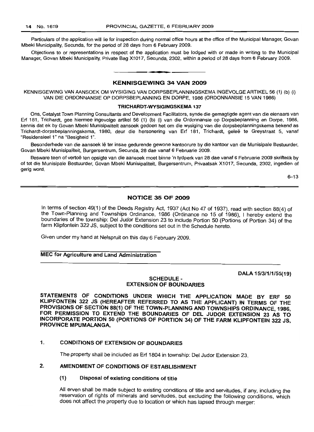Particulars of the application will lie for inspection during normal office hours at the office of the Municipal Manager, Govan Mbeki Municipality, Secunda, for the period of 28 days from 6 February 2009.

Objections to or representations in respect of the application must be lodged with or made in writing to the Municipal Manager, Govan Mbeki Municipality, Private Bag X1017, Secunda, 2302, within a period of 28 days from 6 February 2009.

## KENNISGEWING 34 VAN 2009

**• •**

KENNISGEWING VAN AANSOEK OM WYSIGING VAN DORPSBEPLANNINGSKEMA INGEVOLGE ARTIKEL 56 (1) (b) (i) VAN DIE ORDONNANSIE OP DORPSBEPLANNING EN DORPE, 1986 (ORDONNANSIE 15 VAN 1986)

#### TRICHARDT-WYSIGINGSKEMA 137

Ons, Catalyst Town Planning Consultants and Development Facilitators, synde die gemagtigde agent van die eienaars van Erf 181, Trichardt, gee hiermee ingevolge artikel 56 (1) (b) (i) van die Ordonnansie op Dorpsbeplanning en Dorpe, 1986, kennis dat ek by Govan Mbeki Munisipaliteit aansoek gedoen het om die wysiging van die dorpsbeplanningskema bekend as Trichardt-dorpsbeplanningskema, 1980, deur die hersonering van Erf 181, Trichardt, gelee te Greystraat 5, vanaf "Residensieel 1" na "Besigheid 1".

Besonderhede van die aansoek lê ter insae gedurende gewone kantoorure by die kantoor van die Munisipale Bestuurder, Govan Mbeki Munisipaliteit, Burgersentrum, Secunda, 28 dae vanaf 6 Februarie 2009.

Besware teen of vertoë ten opsigte van die aansoek moet binne 'n tydperk van 28 dae vanaf 6 Februarie 2009 skriftelik by of tot die Munisipale Bestuurder, Govan Mbeki Munisipaliteit, Burgersentrum, Privaatsak X1017, Secunda, 2302, ingedien of gerig word.

6-13

## NOTICE 35 OF 2009

In terms of section 49(1) of the Deeds Registry Act, 1937 (Act No 47 of 1937), read with section 88(4) of the Town-Planning and Townships Ordinance, 1986 (Ordinance no 15 of 1986), I hereby extend the boundaries of the township: Del Judor Extension 23 to include Portion 50 (Portions of Portion 34) of the farm Klipfontein 322 JS, SUbject to the conditions set out in the Schedule hereto.

Given under my hand at Nelspruit on this day 6 February 2009.

## MEC for Agriculture and Land Administration

DALA 15/3/1/1/55(19)

## SCHEDULE-EXTENSION OF BOUNDARIES

STATEMENTS OF CONDITIONS UNDER WHICH THE APPLICATION MADE BY ERF 50 KLiPFONTEIN 322 JS (HEREAFTER REFERRED TO AS THE APPLICANT) IN TERMS OF THE PROVISIONS OF SECTION 88(1) OF THE TOWN-PLANNING AND TOWNSHIPS ORDINANCE, 1986, FOR PERMISSION TO EXTEND THE BOUNDARIES OF DEL JUDOR EXTENSION 23 AS TO INCORPORATE PORTION 50 (PORTIONS OF PORTION 34) OF THE FARM KLiPFONTEIN 322 JS, PROVINCE MPUMALANGA,

## 1. CONDITIONS OF EXTENSION OF BOUNDARIES

The property shall be included as Erf 1804 in township: Del Judor Extension 23.

## 2. AMENDMENT OF CONDITIONS OF ESTABLISHMENT

## (1) Disposal of existing conditions of title

All erven shall be made subject to existing conditions of title and servitudes, if any, including the reservation of rights of minerals and servitudes, but excluding the following conditions, which does not affect the property due to location or which has lapsed through merger: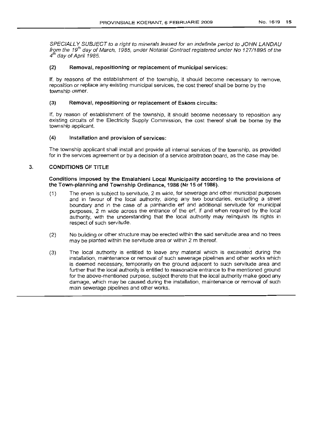SPECIALLY SUBJECT to a right to minerals leased for an indefinite period to JOHN LANDAU from the 19<sup>th</sup> day of March, 1985, under Notarial Contract registered under No 127/1895 of the  $4<sup>th</sup>$  day of April 1985.

## (2) Removal, repositioning or replacement of municipal services:

If, by reasons of the establishment of the township, it should become necessary to remove, reposition or replace any existing municipal services, the cost thereof shall be borne by the township owner.

## (3) Removal, repositioning or replacement of Eskom circuits:

If, by reason of establishment of the township, it should become necessary to reposition any existing circuits of the Electricity Supply Commission, the cost thereof shall be borne by the township applicant.

## (4) Installation and provision of services:

The township applicant shall install and provide all internal services of the township, as provided for in the services agreement or by a decision of a service arbitration board, as the case may be.

## 3. CONDITIONS OF TITLE

Conditions imposed by the Emalahleni Local Municipality according to the provisions of the Town-planning and Township Ordinance, 1986 (Nr 15 of 1986).

- (1) The erven is subject to servitude, 2 m wide, for sewerage and other municipal purposes and in favour of the local authority, along any two boundaries, excluding a street boundary and in the case of a panhandle erf and additional servitude for municipal purposes, 2 m wide across the entrance of the erf, if and when required by the local authority, with the understanding that the local authority may relinquish its rights in respect of such servitude.
- (2) No building or other structure may be erected within the said servitude area and no trees may be planted within the servitude area or within 2 m thereof.
- (3) The local authority is entitled to leave any material which is excavated during the installation, maintenance or removal of such sewerage pipelines and other works which is deemed necessary, temporarily on the ground adjacent to such servitude area and further that the local authority is entitled to reasonable entrance to the mentioned ground for the above-mentioned purpose, subject thereto that the local authority make good any damage, which may be caused during the installation, maintenance or removal of such main sewerage pipelines and other works.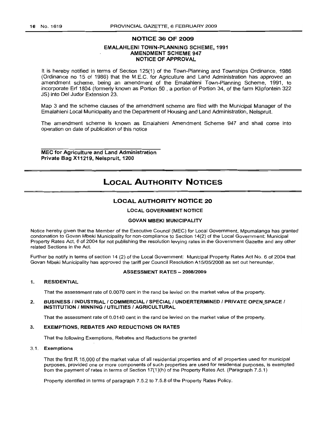## NOTICE 36 OF 2009

## EMALAHLENI TOWN-PLANNING SCHEME, 1991 AMENDMENT SCHEME 947 NOTICE OF APPROVAL

It is hereby notified in terms of Section 125(1) of the Town-Planning and Townships Ordinance, 1986 (Ordinance no 15 of 1986) that the M.E.C. for Agriculture and Land Administration has approved an amendment scheme, being an amendment of the Emalahleni Town-Planning Scheme, 1991, to incorporate Erf 1804 (formerly known as Portion 50 , a portion of Portion 34, of the farm Klipfontein 322 JS) into Del Judor Extension 23.

Map 3 and the scheme clauses of the amendment scheme are filed with the Municipal Manager of the Emalahleni Local Municipality and the Department of Housing and Land Administration, Nelspruit.

The amendment scheme is known as Emalahleni Amendment Scheme 947 and shall come into operation on date of publication of this notice

MEC for Agriculture and Land Administration Private Bag X11219, Nelspruit, 1200

# LOCAL AUTHORITY NOTICES

## LOCAL AUTHORITY NOTICE 20

### **LOCAL GOVERNMENT NOTICE**

## GOVAN MBEKI MUNICIPALITY

Notice hereby given that the Member of the Executive Council (MEC) for Local Government, Mpumalanga has granted condonation to Govan Mbeki Municipality for non-compliance to Section 14(2) of the Local Government: Municipal Property Rates Act, 6 of 2004 for not publishing the resolution levying rates in the Government Gazette and any other related Sections in the Act.

Further be notify in terms of section 14 (2) of the Local Government: Municipal Property Rates Act NO.6 of 2004 that Govan Mbeki Municipality has approved the tariff per Council Resolution A15/05/2008 as set out hereunder.

## ASSESSMENT RATES - 2008/2009

#### 1. RESIDENTIAL

That the assessment rate of 0.0070 cent in the rand be levied on the market value of the property.

2. BUSINESS / INDUSTRIAL / COMMERCIAL / SPECIAL / UNDERTERMINED / PRIVATE OPEN SPACE / INSTITUTION / MINNING / UTILITIES / AGRICULTURAL

That the assessment rate of 0.0140 cent in the rand be levied on the market value of the property.

#### 3. EXEMPTIONS, REBATES AND REDUCTIONS ON RATES

That the following Exemptions, Rebates and Reductions be granted

#### 3.1. Exemptions

That the first R 15,000 of the market value of all residential properties and of all properties used for municipal purposes, provided one or more components of such properties are used for residential purposes, is exempted from the payment of rates in terms of Section 17(1)(h) of the Property Rates Act. (Paragraph 7.5.1)

Property identified in terms of paragraph 7.5.2 to 7.5.8 of the Property Rates Policy.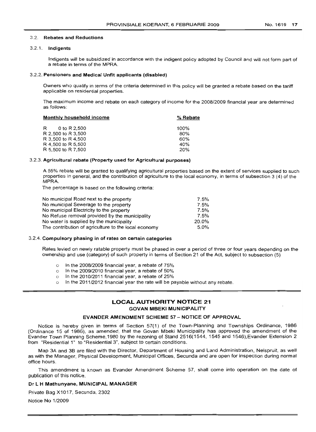#### 3.2. Rebates and Reductions

## 3.2.1. Indigents

Indigents will be subsidized in accordance with the indigent policy adopted by Council and will not form part of a rebate in terms of the MPRA.

#### 3.2.2. Pensioners and Medical Unfit applicants (disabled)

Owners who qualify in terms of the criteria determined in this policy will be granted a rebate based on the tariff applicable on residential properties.

The maximum income and rebate on each category of income for the 2008/2009 financial year are determined as follows:

| Monthly household income | % Rebate |  |  |
|--------------------------|----------|--|--|
| 0 to R 2,500<br>R        | $100\%$  |  |  |
| R 2,500 to R 3,500       | 80%      |  |  |
| R 3,500 to R 4,500       | 60%      |  |  |
| R 4.500 to R 5.500       | 40%      |  |  |
| R 5,500 to R 7,500       | 20%      |  |  |

## 3.2.3. Agricultural rebate (Property used for Agricultural purposes)

A 55% rebate will be granted to qualifying agricultural properties based on the extent of services supplied to such properties in general, and the contribution of agriculture to the local economy, in terms of subsection 3 (4) of the MPRA.

The percentage is based on the following criteria:

| No municipal Road next to the property               | 7.5%    |
|------------------------------------------------------|---------|
| No municipal Sewerage to the property                | 7.5%    |
| No municipal Electricity to the property             | 7.5%    |
| No Refuse removal provided by the municipality       | 7.5%    |
| No water is supplied by the municipality             | 20.0%   |
| The contribution of agriculture to the local economy | $5.0\%$ |
|                                                      |         |

## 3.2.4. Compulsory phasing in of rates on certain categories

Rates levied on newly ratable property must be phased in over a period of three or four years depending on the ownership and use (category) of such property in terms of Section 21 of the Act, subject to subsection (5)

- o In the 2008/2009 financial year, a rebate of 75%
- o In the 2009/2010 financial year, a rebate of 50%
- o In the 2010/2011 financial year, a rebate of 25%
- In the 2011/2012 financial year the rate will be payable without any rebate.

## LOCAL AUTHORITY NOTICE 21 GOVAN MBEKI MUNICIPALITY

## EVANDER AMENDMENT SCHEME 57 - NOTICE OF APPROVAL

Notice is hereby given in terms of Section 57(1) of the Town-Planning and Townships Ordinance, 1986 (Ordinance 15 of 1986), as amended, that the Govan Mbeki Municipality has approved the amendment of the Evander Town Planning Scheme, 1980 by the rezoning of Stand 2516(1544, 1545 and 1546),Evander Extension 2 from "Residential 1" to "Residential 3", subject to certain conditions.

Map 3A and 3B are filed with the Director, Department of Housing and Land Administration, Nelspruit, as well as with the Manager, Physical Development, Municipal Offices, Secunda and are open for inspection during normal office hours.

This amendment is known as Evander Amendment Scheme 57, shall come into operation on the date of publication of this notice.

### Dr L H Mathunyane, MUNICIPAL MANAGER

Private Bag X1017, Secunda, 2302

Notice No 1/2009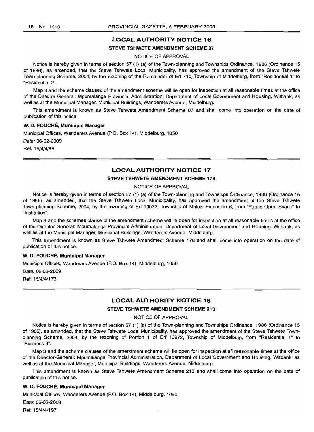## LOCAL AUTHORITY NOTICE 16

## STEVE TSHWETE AMENDMENT SCHEME B7

## NOTICE OF APPROVAL

Notice is hereby given in terms of section 57 (1) (a) of the Town-planning and Townships Ordinance, 1986 (Ordinance 15 of 1986), as amended, that the Steve Tshwete Local Municipality, has approved the amendment of the Steve Tshwete Town-planning Scheme, 2004, by the rezoning of the Remainder of Erf 710, Township of Middelburg, from "Residential 1" to "Residential 2".

Map 3 and the scheme clauses of the amendment scheme will lie open for inspection at all reasonable times at the office of the Director-General: Mpumalanga Provincial Administration, Department of Local Government and Housing, Witbank, as well as at the Municipal Manager, Municipal Buildings, Wanderers Avenue, Middelburg.

This amendment is known as Steve Tshwete Amendment Scheme 87 and shall come into operation on the date of publication of this notice.

#### W. D. FOUCHÉ, Municipal Manager

Municipal Offices, Wanderers Avenue (P.O. Box 14), Middelburg, 1050

Date: 06-02-2009

Ref: 15/4/4/86

## LOCAL AUTHORITY NOTICE 17

## STEVE TSHWETE AMENDMENT SCHEME 178

## NOTICE OF APPROVAL

Notice is hereby given in terms of section 57 (1) (a) of the Town-planning and Townships Ordinance, 1986 (Ordinance 15 of 1986), as amended, that the Steve Tshwete Local Municipality, has approved the amendment of the Steve Tshwete Town-planning Scheme, 2004, by the rezoning of Erf 10072, Township of Mhluzi Extension 6, from "Public Open Space" to "Institution".

Map 3 and the schemes clause of the amendment scheme will lie open for inspection at all reasonable times at the office of the Director-General: Mpumalanga Provincial Administration, Department of Local Government and Housing, Witbank, as well as at the Municipal Manager, Municipal Buildings, Wanderers Avenue, Middelburg.

This amendment is known as Steve Tshwete Amendment Scheme 178 and shall come into operation on the date of publication of this notice.

## W. D. FOUCHÉ, Municipal Manager

Municipal Offices, Wanderers Avenue (P.O. Box 14), Middelburg, 1050

Date: 06-02-2009

Ref: 15/4/4/173

## LOCAL AUTHORITY NOTICE 18

## STEVE TSHWETE AMENDMENT SCHEME 213

NOTICE OF APPROVAL

Notice is hereby given in terms of section 57 (1) (a) of the Town-planning and Townships Ordinance, 1986 (Ordinance 15 of 1986), as amended, that the Steve Tshwete Local Municipality, has approved the amendment of the Steve Tshwete Townplanning Scheme, 2004, by the rezoning of Portion 1 of Erf 10972, Township of Middelburg, from "Residential 1" to "Business 4".

Map 3 and the scheme clauses of the amendment scheme will lie open for inspection at all reasonable times at the office of the Director-General: Mpumalanga Provincial Administration, Department of Local Government and Housing, Witbank, as well as at the Municipal Manager, Municipal Buildings, Wanderers Avenue, Middelburg.

This amendment is known as Steve Tshwete Amendment Scheme 213 and shall come into operation on the date of publication of this notice.

#### W. D. FOUCHÉ, Municipal Manager

Municipal Offices, Wanderers Avenue (P.O. Box 14), Middelburg, 1050

Date: 06-02-2009

Ref: 15/4/4/197